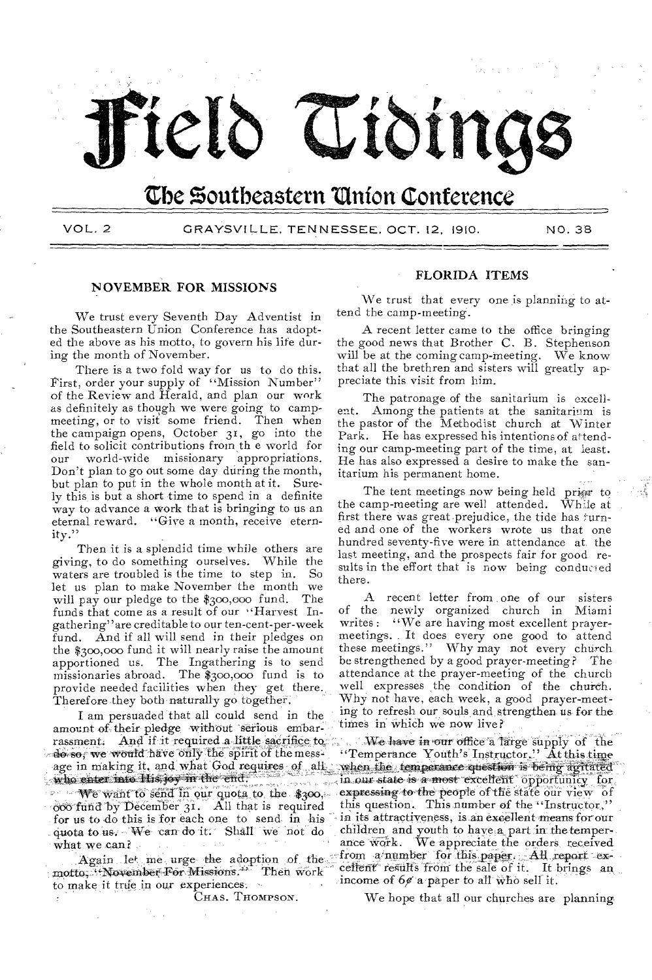

# **the Southeastern 'Union Conference**

VOL. 2 GRAYSVILLE, TENNESSEE, OCT. 12, 1910. NO. 38

# NOVEMBER FOR MISSIONS

We trust every Seventh Day Adventist in the Southeastern Union Conference has adopted the above as his motto, to govern his life during the month of November.

There is a two fold way for us to do this. first, order your supply of "Mission Number" of the Review and Herald, and plan our work as definitely as though we were going to campmeeting, or to visit some friend. Then when the campaign opens, October 31, go into the field to solicit contributions from th e world for our world-wide missionary appropriations. Don't plan to go out some day during the month, but plan to put in the whole month at it. Surely this, is but a short time to spend in a definite way to advance a work that is bringing to us an eternal reward. "Give a month, receive eternity."

Then it is a splendid time while others are giving, to do something ourselves. While the waters are troubled is the time to step in. So let us plan to make November the month we will pay our pledge to the  $$300,000$  fund. funds that come as a result of our "Harvest Ingathering"are creditable to our ten-cent-per-week fund. And if all will send in their pledges on the \$300,000 fund it will nearly raise the amount apportioned us. The Ingathering is to send missionaries abroad. The \$300,000 fund is to provide needed facilities when they get there., Therefore they both naturally go together.

I am persuaded that all could send in the amount of their pledge, without serious embarrassment. And if it required a little sacrifice to  $\sim$  does, we would have only the spirit of the messdo so, we would have only the spirit of the meage in making it, and what God requires of who enter into Hisjoy in the end.

We want to send in our quota to the \$300, '6:95-fund by' December 31. All that is required for us to do this is for each one to send- in his quota to us. We can do it. Shall we not do what we can? do so, we would have only the spirit of the age in making it, and what God requires<br>who enter into His, joy in the end.<br>We want to send in our quota to the<br>coordina by December 31. All that is 1<br>for us to do this is for ea

Again let me urge the adoption of the motto, "November For Missions." Then work to make it true in our experiences. -

CHAS. THOMPSON.

### FLORIDA ITEMS

We trust that every one is planning to attend the camp-meeting.

A recent letter came to the office bringing the good news that Brother C. B. Stephenson will be at the coming camp-meeting. We know that all the brethren and sisters will greatly appreciate this visit from him.

The patronage of the sanitarium is excellent. Among the patients at the sanitarium is the pastor of the Methodist church at Winter Park. He has expressed his intentions of attending our camp-meeting part of the time, at least. He has also expressed a desire to make the sanitarium his permanent home.

The tent meetings now being held prigr to the camp-meeting are well attended. While at first there was great prejudice, the tide has turned and one of the workers wrote us that one hundred seventy-five were in attendance at the last meeting, and the prospects fair for good results in the effort that is now being conducted there.

A recent letter from one of our sisters of the newly organized church in Miami<br>writes: "We are having most excellent praver-"We are having most excellent prayermeetings. It does every one good to attend these meetings." Why may not every church be strengthened by a good prayer-meeting? The attendance at the prayer-meeting of the church well expresses the condition of the church. Why not have, each week, a good prayer-meeting to refresh our souls and strengthen us for the times in which we now live?

We have in our office a *large* Supply- of the "Temperance Youth's Instructor." At this time when the temperance question is being agitated in our state is a most excellent opportunicy for expressing to the people of the state our view of this question. This number of the "Instructor," in its attractiveness, is.an excellent means forour children and youth to have, a part in thetemperance work. We appreciate the orders received from a number for this paper. All report excellent results from the sale of it. It brings an income of  $60$  a paper to all who sell it.

We hope that all our churches are planning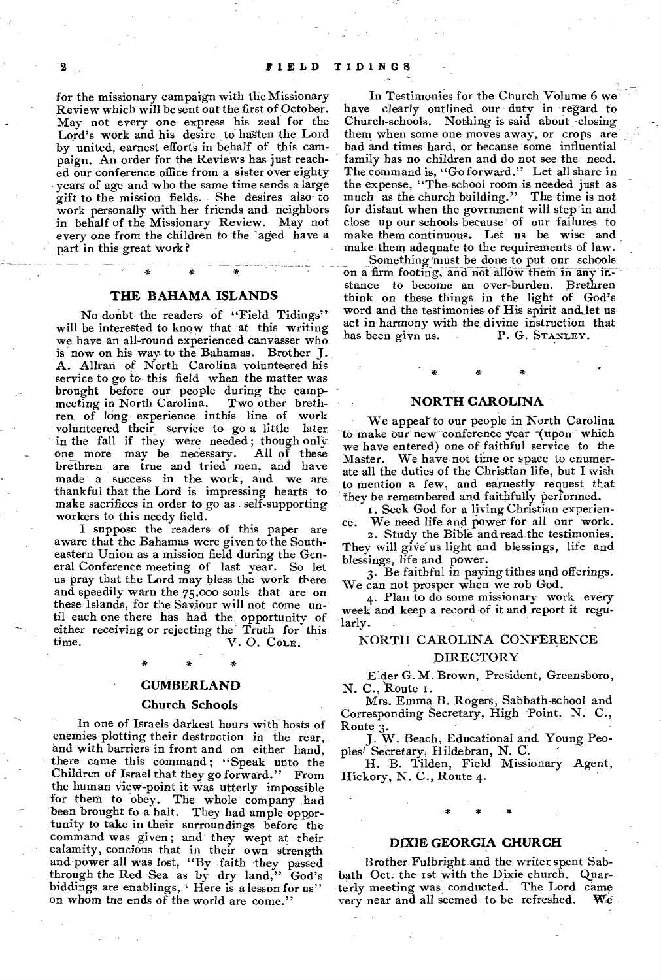for the missionary campaign with the Missionary Review which will be sent out the first of October. May not every one express his zeal for the Lord's work and his desire to hasten the Lord by united, earnest efforts in behalf of this campaign. An order for the Reviews has just reached our conference office from a sister over eighty years of age and who the same time sends a large gift to the mission fields. She desires also to work personally with her friends and neighbors in behalf of the Missionary Review. May not every one from the children to the aged have a part in this great work ?

#### **THE BAHAMA ISLANDS**

No doubt the readers of "Field Tidings" will be interested to know that at this writing we have an all-round experienced canvasser who is now on his way to the Bahamas. Brother J. A. Allran of North Carolina volunteered his service to go fo- this field when the matter was brought before our people during the campmeeting in North Carolina. Two other brethren of long experience inthis line of work volunteered their service to go a little later in the fall if they were needed; though only<br>one more may be necessary. All of these one more may be necessary. brethren are true and tried men, and have made a success in the work, and we are thankful that the Lord is impressing hearts to make sacrifices in order to go as self-supporting workers to this needy field.

I suppose the readers of this paper are aware that the Bahamas were given to the Southeastern Union as a mission field during the General Conference meeting of last year. So let us pray that the Lord may bless the work there and speedily warn the 75,000 souls that are on these Islands, for the Saviour will not come until each one there has had the opportunity of either receiving or rejecting the Truth for this<br>time.<br> $V, O, Co.r.$ V. Q. COLE.

#### **CUMBERLAND**

#### **Church Schools**

In one of Israels darkest hours with hosts of enemies plotting their destruction in the rear, and with barriers in front and on either hand, there came this command; "Speak unto the Children of Israel that they go forward." From the human view-point it was utterly impossible for them to obey. The whole company had been brought to a halt. They had ample oppor tunity to take in their surroundings before the command was given; and they wept at their calamity, concious that in their own strength and power all was lost, "By faith they passed through the Red Sea as by dry land," God's biddings are enablings, 'Here is a lesson for us" on whom tne ends of the world are come."

In Testimonies for the Church Volume 6 we have clearly outlined our duty in regard to Church-schools. Nothing is said about closing them when some one moves away, or crops are bad and times hard, or because some influential family has no children and do not see the need. The command is, "Go forward." Let all share in the expense, "The school room is needed just as much as the church building." The time is not for distaut when the govrnment will step in and close up our schools because of our failures to make them continuous. Let us be wise and make them adequate to the requirements of law.

Something must be done to put our schools on a firm footing, and not allow them in any instance to become an over-burden. Brethren think on these things in the light of God's word and the testimonies of His spirit and let us act in harmony with the divine instruction that has been givn us. P. G. STANLEY.

#### **NORTH CAROLINA**

We appear to our people in North Carolina to make our new conference year (upon which we have entered) one of faithful service to the Master. We have not time or space to enumerate all the duties of the Christian life, but I wish to mention a few, and earnestly request that they be remembered and faithfully performed.

1. Seek God for a living Christian experience. We need life and power for all our work.

2. Study the Bible and read the testimonies. They will give us light and blessings, life and blessings, life and power.

3. Be faithful in paying tithes and offerings. We can not prosper when we rob God.

4. Plan to do some missionary work every week and keep a record of it and report it regularly.

#### NORTH CAROLINA CONFERENCE

#### DIRECTORY

Elder G. M. Brown, President, Greensboro, N. C., Route 1.

Mrs. Emma B. Rogers, Sabbath-school and Corresponding Secretary, High Point, N. C., Route 3.

J. W. Beach, Educational and. Young Peoples' Secretary, Hildebran, N. C.

H. B. Tilden, Field Missionary Agent, Hickory, N. C., Route 4.

#### **DIXIE GEORGIA CHURCH**

Brother. Fulbright and the writer spent Sabbath Oct. the 1st with the Dixie church. Quarterly meeting was conducted. The Lord came<br>verv near and all seemed to be refreshed. We very near and all seemed to be refreshed.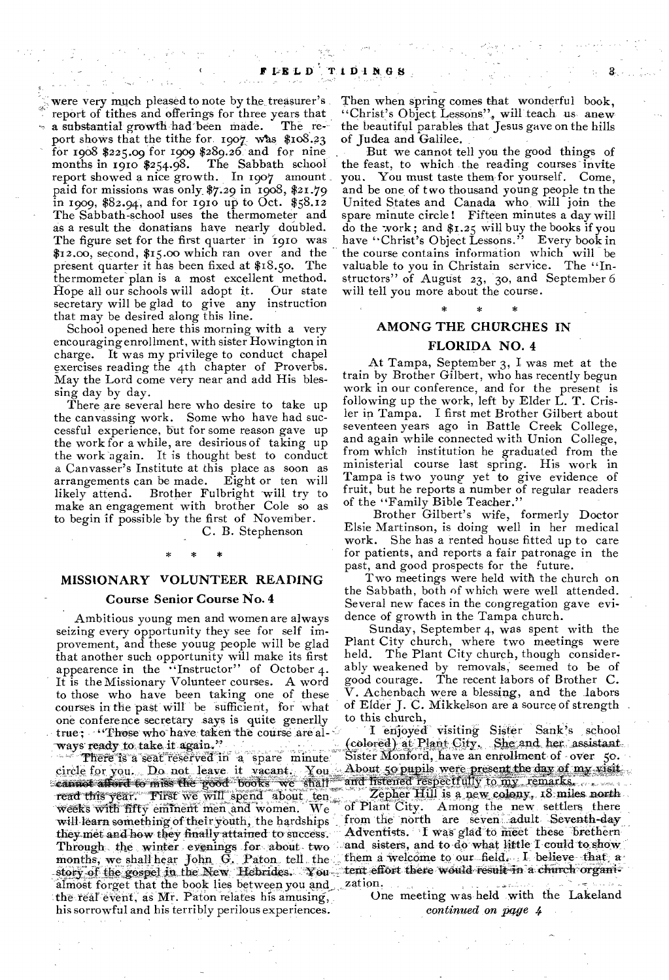were very much pleased to note by the treasurer's report of tithes and offerings for three years that a substantial growth had been made. The report shows that the tithe for. 1907 was  $$108.23$ for 1908 \$225.09 for 19o9 \$289.26 and for nine The Sabbath school report showed a nice growth. In 1907 amount paid for missions was only \$7.29 in 1908, \$21.79 in 1909, \$82.94, and for 1910 up to Oct.  $$58.12$ The Sabbath-school uses the thermometer and as a result the donatians have nearly doubled. The figure set for the first quarter in 1910 was \$12.00, second, \$15.00 which ran over and the present quarter it has been fixed at \$18.5o. The thermometer plan is a most excellent method. Hope all our schools will adopt it. secretary will be glad to give any instruction that may be desired along this line.

School opened here this morning with a very encouraging enrollment, with sister Howington in charge. It was my privilege to conduct chapel exercises reading the 4th chapter of Proverbs. May the Lord come very near and add His blessing day by day.

There are several here who desire to take up the canvassing work. Some who have had successful experience, but for some reason gave up the work for a while, are desirious of taking up the work again. It is thought best to conduct a Canvasser's Institute at this place as soon as arrangements can be made. Eight or ten will Brother Fulbright will try to make an engagement with brother Cole so as to begin if possible by the first of November.

C. B. Stephenson

# **MISSIONARY VOLUNTEER READING**

\* \* \*

#### **Course Senior Course No. 4**

**•** Ambitious young men and women are always seizing every opportunity they see for self improvement, and these youug people will be glad that another such opportunity will make its first appearence in the ''Instructor" of October 4. It is the Missionary Volunteer courses. A word to those who have been taking one of these courses in the past will be sufficient, for what one conference secretary says is quite generlly true; "Those who have taken the course are al-<br>ways ready to take it again." ways ready to take it again."

story of the gospel in the New Hebrides. You tent effort there would result in a church There is a seat reserved in a spare minute pircle for you. Do not leave it vacant. You cannot afford to miss the good books we shall read this year. First we will spend about ten weeks with fifty eminent men \and women. We will learn something of their youth, the hardships theymet and how they finally attained to success. Through the winter evenings for about two months, we shall hear John G. Paton tell the almost forget that the book lies between you and zation. the real event, as Mr. Paton relates his amusing, his sorrowful and his terribly perilous experiences.

Then when spring comes that wonderful book, "Christ's Object Lessons", will teach us anew the beautiful parables that Jesus gave on the hills of Judea and Galilee.

But we cannot tell you the good things of the feast, to which the reading courses invite<br>you. You must taste them for yourself. Come, You must taste them for yourself. Come, and be one of two thousand young people to the United States and Canada who, will join the spare minute circle! Fifteen minutes a day will do the work ; and \$1.25 will buy the books if you have "Christ's Object Lessons." Every book in the course contains information which will be valuable to you in Christain service. The "Instructors" of August 23, 30, and September 6 will tell you more about the course.

# \* \* \* **AMONG THE CHURCHES IN**

#### **FLORIDA NO. 4**

At Tampa, September 3, I was met at the train by Brother Gilbert, who has recently begun work in our conference, and for the present is following up the work, left by Elder L. T. Crisler in Tampa. I first met Brother Gilbert about seventeen years ago in Battle Creek College, and again while connected with Union College, from which institution he graduated from the ministerial course last spring. His work in Tampa is two young yet to give evidence of fruit, but he reports a number of regular readers of the "Family Bible Teacher."

Brother Gilbert's wife, formerly Doctor Elsie Martinson, is doing well in her medical work. She has a rented house fitted up to care for patients, and reports a fair patronage in the past, and good prospects for the future.

Two meetings were held with the church on the Sabbath, both of which were well attended. Several new faces in the congregation gave evidence of growth in the Tampa church.

Sunday, September 4, was spent with the Plant City church, where two meetings were held. The Plant City church, though considerably weakened by removals, seemed to be of good courage. The recent labors of Brother C. V. Achenbach were a blessing, and the labors of Elder J. C. Mikkelson are a source of strength to this church,

I enjoyed visiting Sister Sank's school (colored) at Plant City. She and her assistant.<br>Sister Monford, have an enrollment of over 50. Sister Monford, have an enrollment of over 50. About 5o pupils were present the day of my and listened respectfully to my remarks.

Zepher Hill is a new colony, 18 miles north. Of Plant City. Among the new settlers there of Plant City. Among the new settlers there from the north are seven adult Seventh-day Adventists. I was glad to meet these brethern and sisters, and to do what little I could toshow them a welcome to our field. I believe that a-

One meeting was held with the Lakeland *continued* on *pwe* 4